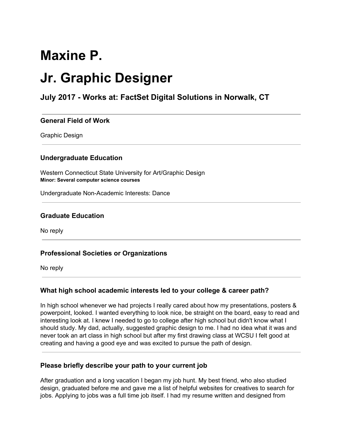# **Maxine P.**

# **Jr. Graphic Designer**

# **July 2017 - Works at: FactSet Digital Solutions in Norwalk, CT**

#### **General Field of Work**

Graphic Design

#### **Undergraduate Education**

Western Connecticut State University for Art/Graphic Design **Minor: Several computer science courses**

Undergraduate Non-Academic Interests: Dance

#### **Graduate Education**

No reply

#### **Professional Societies or Organizations**

No reply

#### **What high school academic interests led to your college & career path?**

In high school whenever we had projects I really cared about how my presentations, posters & powerpoint, looked. I wanted everything to look nice, be straight on the board, easy to read and interesting look at. I knew I needed to go to college after high school but didn't know what I should study. My dad, actually, suggested graphic design to me. I had no idea what it was and never took an art class in high school but after my first drawing class at WCSU I felt good at creating and having a good eye and was excited to pursue the path of design.

#### **Please briefly describe your path to your current job**

After graduation and a long vacation I began my job hunt. My best friend, who also studied design, graduated before me and gave me a list of helpful websites for creatives to search for jobs. Applying to jobs was a full time job itself. I had my resume written and designed from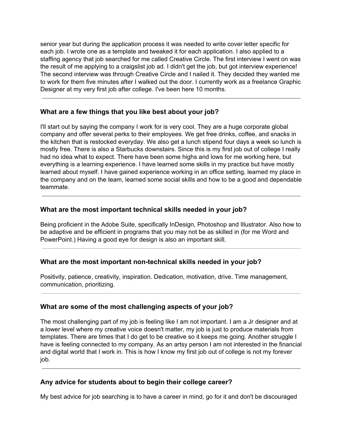senior year but during the application process it was needed to write cover letter specific for each job. I wrote one as a template and tweaked it for each application. I also applied to a staffing agency that job searched for me called Creative Circle. The first interview I went on was the result of me applying to a craigslist job ad. I didn't get the job, but got interview experience! The second interview was through Creative Circle and I nailed it. They decided they wanted me to work for them five minutes after I walked out the door. I currently work as a freelance Graphic Designer at my very first job after college. I've been here 10 months.

### **What are a few things that you like best about your job?**

I'll start out by saying the company I work for is very cool. They are a huge corporate global company and offer several perks to their employees. We get free drinks, coffee, and snacks in the kitchen that is restocked everyday. We also get a lunch stipend four days a week so lunch is mostly free. There is also a Starbucks downstairs. Since this is my first job out of college I really had no idea what to expect. There have been some highs and lows for me working here, but everything is a learning experience. I have learned some skills in my practice but have mostly learned about myself. I have gained experience working in an office setting, learned my place in the company and on the team, learned some social skills and how to be a good and dependable teammate.

# **What are the most important technical skills needed in your job?**

Being proficient in the Adobe Suite, specifically InDesign, Photoshop and Illustrator. Also how to be adaptive and be efficient in programs that you may not be as skilled in (for me Word and PowerPoint.) Having a good eye for design is also an important skill.

# **What are the most important non-technical skills needed in your job?**

Positivity, patience, creativity, inspiration. Dedication, motivation, drive. Time management, communication, prioritizing.

# **What are some of the most challenging aspects of your job?**

The most challenging part of my job is feeling like I am not important. I am a Jr designer and at a lower level where my creative voice doesn't matter, my job is just to produce materials from templates. There are times that I do get to be creative so it keeps me going. Another struggle I have is feeling connected to my company. As an artsy person I am not interested in the financial and digital world that I work in. This is how I know my first job out of college is not my forever job.

# **Any advice for students about to begin their college career?**

My best advice for job searching is to have a career in mind, go for it and don't be discouraged